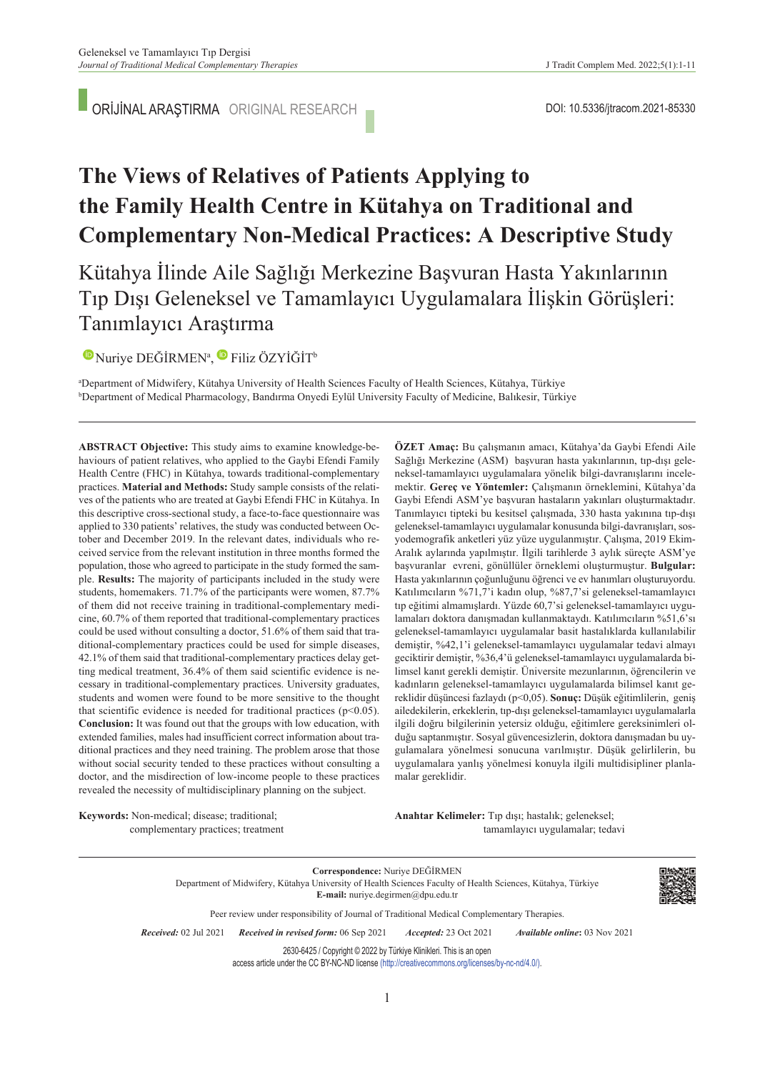ORİJİNAL ARAŞTIRMA ORIGINAL RESEARCH

# **The Views of Relatives of Patients Applying to the Family Health Centre in Kütahya on Traditional and Complementary Non-Medical Practices: A Descriptive Study**

Kütahya İlinde Aile Sağlığı Merkezine Başvuran Hasta Yakınlarının Tıp Dışı Geleneksel ve Tamamlayıcı Uygulamalara İlişkin Görüşleri: Tanımlayıcı Araştırma

 $\bullet$ Nuriye DEĞİRMEN<sup>a</sup>,  $\bullet$  Filiz ÖZYİĞİT<sup>b</sup>

a Department of Midwifery, Kütahya University of Health Sciences Faculty of Health Sciences, Kütahya, Türkiye b Department of Medical Pharmacology, Bandırma Onyedi Eylül University Faculty of Medicine, Balıkesir, Türkiye

**ABS TRACT Objective:** This study aims to examine knowledge-behaviours of patient relatives, who applied to the Gaybi Efendi Family Health Centre (FHC) in Kütahya, towards traditional-complementary practices. **Material and Methods:** Study sample consists of the relatives of the patients who are treated at Gaybi Efendi FHC in Kütahya. In this descriptive cross-sectional study, a face-to-face questionnaire was applied to 330 patients' relatives, the study was conducted between October and December 2019. In the relevant dates, individuals who received service from the relevant institution in three months formed the population, those who agreed to participate in the study formed the sample. **Results:** The majority of participants included in the study were students, homemakers. 71.7% of the participants were women, 87.7% of them did not receive training in traditional-complementary medicine, 60.7% of them reported that traditional-complementary practices could be used without consulting a doctor, 51.6% of them said that traditional-complementary practices could be used for simple diseases, 42.1% of them said that traditional-complementary practices delay getting medical treatment, 36.4% of them said scientific evidence is necessary in traditional-complementary practices. University graduates, students and women were found to be more sensitive to the thought that scientific evidence is needed for traditional practices  $(p<0.05)$ . **Conclusion:** It was found out that the groups with low education, with extended families, males had insufficient correct information about traditional practices and they need training. The problem arose that those without social security tended to these practices without consulting a doctor, and the misdirection of low-income people to these practices revealed the necessity of multidisciplinary planning on the subject.

neksel-tamamlayıcı uygulamalara yönelik bilgi-davranışlarını incelemektir. **Gereç ve Yöntemler:** Çalışmanın örneklemini, Kütahya'da Gaybi Efendi ASM'ye başvuran hastaların yakınları oluşturmaktadır. Tanımlayıcı tipteki bu kesitsel çalışmada, 330 hasta yakınına tıp-dışı geleneksel-tamamlayıcı uygulamalar konusunda bilgi-davranışları, sosyodemografik anketleri yüz yüze uygulanmıştır. Çalışma, 2019 Ekim-Aralık aylarında yapılmıştır. İlgili tarihlerde 3 aylık süreçte ASM'ye başvuranlar evreni, gönüllüler örneklemi oluşturmuştur. **Bulgular:** Hasta yakınlarının çoğunluğunu öğrenci ve ev hanımları oluşturuyordu. Katılımcıların %71,7'i kadın olup, %87,7'si geleneksel-tamamlayıcı tıp eğitimi almamışlardı. Yüzde 60,7'si geleneksel-tamamlayıcı uygulamaları doktora danışmadan kullanmaktaydı. Katılımcıların %51,6'sı geleneksel-tamamlayıcı uygulamalar basit hastalıklarda kullanılabilir demiştir, %42,1'i geleneksel-tamamlayıcı uygulamalar tedavi almayı geciktirir demiştir, %36,4'ü geleneksel-tamamlayıcı uygulamalarda bilimsel kanıt gerekli demiştir. Üniversite mezunlarının, öğrencilerin ve kadınların geleneksel-tamamlayıcı uygulamalarda bilimsel kanıt gereklidir düşüncesi fazlaydı (p<0,05). **Sonuç:** Düşük eğitimlilerin, geniş ailedekilerin, erkeklerin, tıp-dışı geleneksel-tamamlayıcı uygulamalarla ilgili doğru bilgilerinin yetersiz olduğu, eğitimlere gereksinimleri olduğu saptanmıştır. Sosyal güvencesizlerin, doktora danışmadan bu uygulamalara yönelmesi sonucuna varılmıştır. Düşük gelirlilerin, bu uygulamalara yanlış yönelmesi konuyla ilgili multidisipliner planlamalar gereklidir.

**ÖZET Amaç:** Bu çalışmanın amacı, Kütahya'da Gaybi Efendi Aile Sağlığı Merkezine (ASM) başvuran hasta yakınlarının, tıp-dışı gele-

**Keywords:** Non-medical; disease; traditional; complementary practices; treatment Anahtar Kelimeler: Tıp dışı; hastalık; geleneksel; tamamlayıcı uygulamalar; tedavi

**Correspondence:** Nuriye DEĞİRMEN Department of Midwifery, Kütahya University of Health Sciences Faculty of Health Sciences, Kütahya, Türkiye **E-mail:** nuriye.degirmen@dpu.edu.tr



*Re ce i ved:* 02 Jul 2021 *Received in revised form:* 06 Sep 2021 *Ac cep ted:* 23 Oct 2021 *Available online***:** 03 Nov 2021 2630-6425 / Copyright © 2022 by Türkiye Klinikleri. This is an open

Peer review under responsibility of Journal of Traditional Medical Complementary Therapies.

access article under the CC BY-NC-ND license [\(http://creativecommons.org/licenses/by-nc-nd/4.0/\)](https://creativecommons.org/licenses/by-nc-nd/4.0/).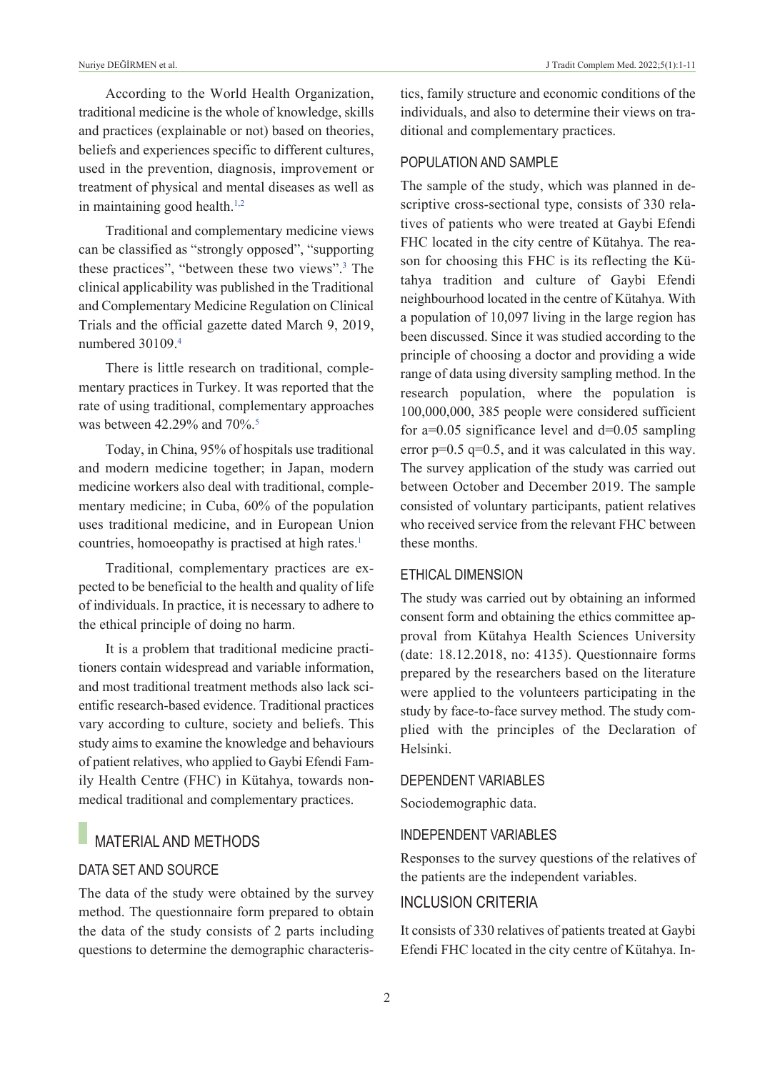According to the World Health Organization, traditional medicine is the whole of knowledge, skills and practices (explainable or not) based on theories, beliefs and experiences specific to different cultures, used in the prevention, diagnosis, improvement or treatment of physical and mental diseases as well as in maintaining good health.<sup>1,2</sup>

Traditional and complementary medicine views can be classified as "strongly opposed", "supporting these practices", "between these two views"[.3](#page-10-0) The clinical applicability was published in the Traditional and Complementary Medicine Regulation on Clinical Trials and the official gazette dated March 9, 2019, numbered 30109[.4](#page-10-0)

There is little research on traditional, complementary practices in Turkey. It was reported that the rate of using traditional, complementary approaches was between 42.29% and 70%.<sup>5</sup>

Today, in China, 95% of hospitals use traditional and modern medicine together; in Japan, modern medicine workers also deal with traditional, complementary medicine; in Cuba, 60% of the population uses traditional medicine, and in European Union countries, homoeopathy is practised at high rates.<sup>1</sup>

Traditional, complementary practices are expected to be beneficial to the health and quality of life of individuals. In practice, it is necessary to adhere to the ethical principle of doing no harm.

It is a problem that traditional medicine practitioners contain widespread and variable information, and most traditional treatment methods also lack scientific research-based evidence. Traditional practices vary according to culture, society and beliefs. This study aims to examine the knowledge and behaviours of patient relatives, who applied to Gaybi Efendi Family Health Centre (FHC) in Kütahya, towards nonmedical traditional and complementary practices.

## MATERIAL AND METHODS

#### DATA SET AND SOuRCE

The data of the study were obtained by the survey method. The questionnaire form prepared to obtain the data of the study consists of 2 parts including questions to determine the demographic characteristics, family structure and economic conditions of the individuals, and also to determine their views on traditional and complementary practices.

## POPuLATION AND SAMPLE

The sample of the study, which was planned in descriptive cross-sectional type, consists of 330 relatives of patients who were treated at Gaybi Efendi FHC located in the city centre of Kütahya. The reason for choosing this FHC is its reflecting the Kütahya tradition and culture of Gaybi Efendi neighbourhood located in the centre of Kütahya. With a population of 10,097 living in the large region has been discussed. Since it was studied according to the principle of choosing a doctor and providing a wide range of data using diversity sampling method. In the research population, where the population is 100,000,000, 385 people were considered sufficient for  $a=0.05$  significance level and  $d=0.05$  sampling error  $p=0.5$  q=0.5, and it was calculated in this way. The survey application of the study was carried out between October and December 2019. The sample consisted of voluntary participants, patient relatives who received service from the relevant FHC between these months.

#### ETHICAL DIMENSION

The study was carried out by obtaining an informed consent form and obtaining the ethics committee approval from Kütahya Health Sciences University (date: 18.12.2018, no: 4135). Questionnaire forms prepared by the researchers based on the literature were applied to the volunteers participating in the study by face-to-face survey method. The study complied with the principles of the Declaration of Helsinki.

#### DEPENDENT VARIABLES

Sociodemographic data.

### INDEPENDENT VARIABLES

Responses to the survey questions of the relatives of the patients are the independent variables.

## INCLuSION CRITERIA

It consists of 330 relatives of patients treated at Gaybi Efendi FHC located in the city centre of Kütahya. In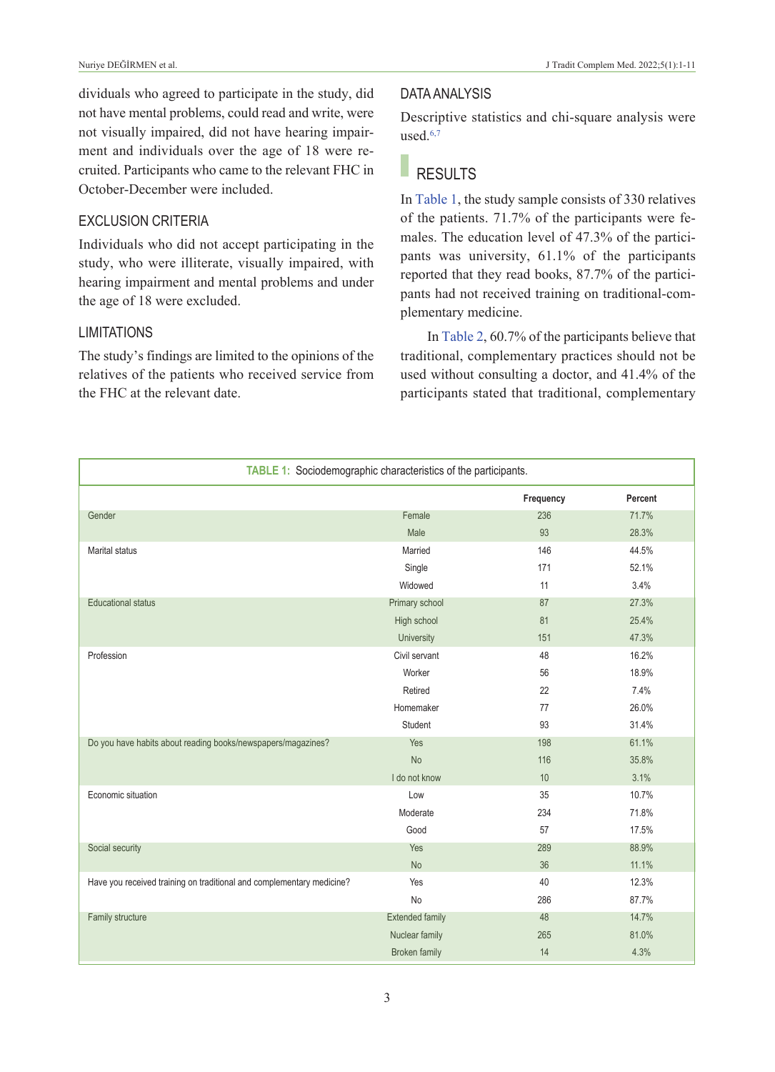dividuals who agreed to participate in the study, did not have mental problems, could read and write, were not visually impaired, did not have hearing impairment and individuals over the age of 18 were recruited. Participants who came to the relevant FHC in October-December were included.

## ExCLuSION CRITERIA

Individuals who did not accept participating in the study, who were illiterate, visually impaired, with hearing impairment and mental problems and under the age of 18 were excluded.

### LIMITATIONS

The study's findings are limited to the opinions of the relatives of the patients who received service from the FHC at the relevant date.

### DATA ANALYSIS

Descriptive statistics and chi-square analysis were used. $6,7$ 

# RESULTS

In [Table 1,](#page-2-0) the study sample consists of 330 relatives of the patients. 71.7% of the participants were females. The education level of 47.3% of the participants was university, 61.1% of the participants reported that they read books, 87.7% of the participants had not received training on traditional-complementary medicine.

<span id="page-2-0"></span>In [Table 2,](#page-3-0) 60.7% of the participants believe that traditional, complementary practices should not be used without consulting a doctor, and 41.4% of the participants stated that traditional, complementary

| TABLE 1: Sociodemographic characteristics of the participants.        |                        |           |         |  |  |  |  |  |
|-----------------------------------------------------------------------|------------------------|-----------|---------|--|--|--|--|--|
|                                                                       |                        | Frequency | Percent |  |  |  |  |  |
| Gender                                                                | Female                 | 236       | 71.7%   |  |  |  |  |  |
|                                                                       | Male                   | 93        | 28.3%   |  |  |  |  |  |
| <b>Marital status</b>                                                 | Married                | 146       | 44.5%   |  |  |  |  |  |
|                                                                       | Single                 | 171       | 52.1%   |  |  |  |  |  |
|                                                                       | Widowed                | 11        | 3.4%    |  |  |  |  |  |
| <b>Educational status</b>                                             | Primary school         | 87        | 27.3%   |  |  |  |  |  |
|                                                                       | High school            | 81        | 25.4%   |  |  |  |  |  |
|                                                                       | University             | 151       | 47.3%   |  |  |  |  |  |
| Profession                                                            | Civil servant          | 48        | 16.2%   |  |  |  |  |  |
|                                                                       | Worker                 | 56        | 18.9%   |  |  |  |  |  |
|                                                                       | Retired                | 22        | 7.4%    |  |  |  |  |  |
|                                                                       | Homemaker              | 77        | 26.0%   |  |  |  |  |  |
|                                                                       | Student                | 93        | 31.4%   |  |  |  |  |  |
| Do you have habits about reading books/newspapers/magazines?          | Yes                    | 198       | 61.1%   |  |  |  |  |  |
|                                                                       | <b>No</b>              | 116       | 35.8%   |  |  |  |  |  |
|                                                                       | I do not know          | 10        | 3.1%    |  |  |  |  |  |
| Economic situation                                                    | Low                    | 35        | 10.7%   |  |  |  |  |  |
|                                                                       | Moderate               | 234       | 71.8%   |  |  |  |  |  |
|                                                                       | Good                   | 57        | 17.5%   |  |  |  |  |  |
| Social security                                                       | Yes                    | 289       | 88.9%   |  |  |  |  |  |
|                                                                       | <b>No</b>              | 36        | 11.1%   |  |  |  |  |  |
| Have you received training on traditional and complementary medicine? | Yes                    | 40        | 12.3%   |  |  |  |  |  |
|                                                                       | No                     | 286       | 87.7%   |  |  |  |  |  |
| Family structure                                                      | <b>Extended family</b> | 48        | 14.7%   |  |  |  |  |  |
|                                                                       | Nuclear family         | 265       | 81.0%   |  |  |  |  |  |
|                                                                       | <b>Broken family</b>   | 14        | 4.3%    |  |  |  |  |  |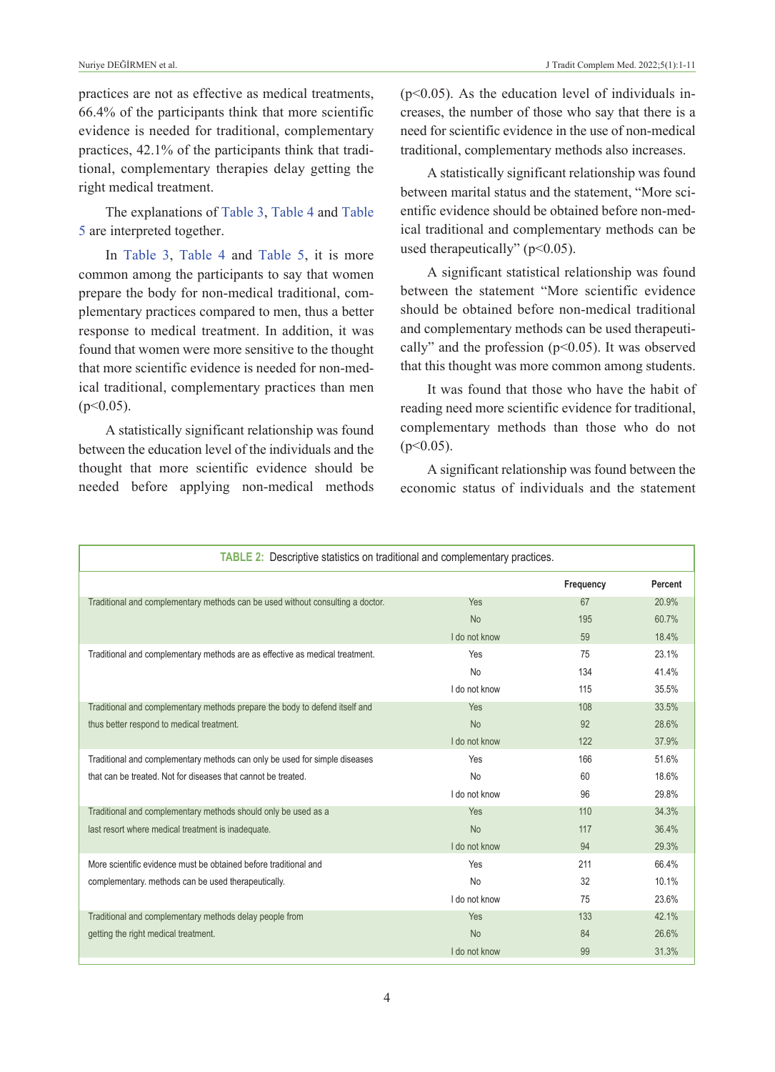practices are not as effective as medical treatments, 66.4% of the participants think that more scientific evidence is needed for traditional, complementary practices, 42.1% of the participants think that traditional, complementary therapies delay getting the right medical treatment.

The explanations of [Table 3,](#page-4-0) [Table 4](#page-5-0) and [Table](#page-6-0)  [5](#page-6-0) are interpreted together.

In [Table 3,](#page-4-0) [Table 4](#page-5-0) and [Table 5,](#page-6-0) it is more common among the participants to say that women prepare the body for non-medical traditional, complementary practices compared to men, thus a better response to medical treatment. In addition, it was found that women were more sensitive to the thought that more scientific evidence is needed for non-medical traditional, complementary practices than men  $(p<0.05)$ .

A statistically significant relationship was found between the education level of the individuals and the thought that more scientific evidence should be needed before applying non-medical methods  $(p<0.05)$ . As the education level of individuals increases, the number of those who say that there is a need for scientific evidence in the use of non-medical traditional, complementary methods also increases.

A statistically significant relationship was found between marital status and the statement, "More scientific evidence should be obtained before non-medical traditional and complementary methods can be used therapeutically" (p<0.05).

A significant statistical relationship was found between the statement "More scientific evidence should be obtained before non-medical traditional and complementary methods can be used therapeutically" and the profession  $(p<0.05)$ . It was observed that this thought was more common among students.

It was found that those who have the habit of reading need more scientific evidence for traditional, complementary methods than those who do not  $(p<0.05)$ .

<span id="page-3-0"></span>A significant relationship was found between the economic status of individuals and the statement

| <b>TABLE 2:</b> Descriptive statistics on traditional and complementary practices. |               |           |         |  |  |  |  |  |
|------------------------------------------------------------------------------------|---------------|-----------|---------|--|--|--|--|--|
|                                                                                    |               | Frequency | Percent |  |  |  |  |  |
| Traditional and complementary methods can be used without consulting a doctor.     | Yes           | 67        | 20.9%   |  |  |  |  |  |
|                                                                                    | <b>No</b>     | 195       | 60.7%   |  |  |  |  |  |
|                                                                                    | I do not know | 59        | 18.4%   |  |  |  |  |  |
| Traditional and complementary methods are as effective as medical treatment.       | Yes           | 75        | 23.1%   |  |  |  |  |  |
|                                                                                    | <b>No</b>     | 134       | 41.4%   |  |  |  |  |  |
|                                                                                    | I do not know | 115       | 35.5%   |  |  |  |  |  |
| Traditional and complementary methods prepare the body to defend itself and        | <b>Yes</b>    | 108       | 33.5%   |  |  |  |  |  |
| thus better respond to medical treatment.                                          | <b>No</b>     | 92        | 28.6%   |  |  |  |  |  |
|                                                                                    | I do not know | 122       | 37.9%   |  |  |  |  |  |
| Traditional and complementary methods can only be used for simple diseases         | Yes           | 166       | 51.6%   |  |  |  |  |  |
| that can be treated. Not for diseases that cannot be treated.                      | <b>No</b>     | 60        | 18.6%   |  |  |  |  |  |
|                                                                                    | I do not know | 96        | 29.8%   |  |  |  |  |  |
| Traditional and complementary methods should only be used as a                     | Yes           | 110       | 34.3%   |  |  |  |  |  |
| last resort where medical treatment is inadequate.                                 | <b>No</b>     | 117       | 36.4%   |  |  |  |  |  |
|                                                                                    | I do not know | 94        | 29.3%   |  |  |  |  |  |
| More scientific evidence must be obtained before traditional and                   | Yes           | 211       | 66.4%   |  |  |  |  |  |
| complementary, methods can be used therapeutically.                                | <b>No</b>     | 32        | 10.1%   |  |  |  |  |  |
|                                                                                    | I do not know | 75        | 23.6%   |  |  |  |  |  |
| Traditional and complementary methods delay people from                            | <b>Yes</b>    | 133       | 42.1%   |  |  |  |  |  |
| getting the right medical treatment.                                               | <b>No</b>     | 84        | 26.6%   |  |  |  |  |  |
|                                                                                    | I do not know | 99        | 31.3%   |  |  |  |  |  |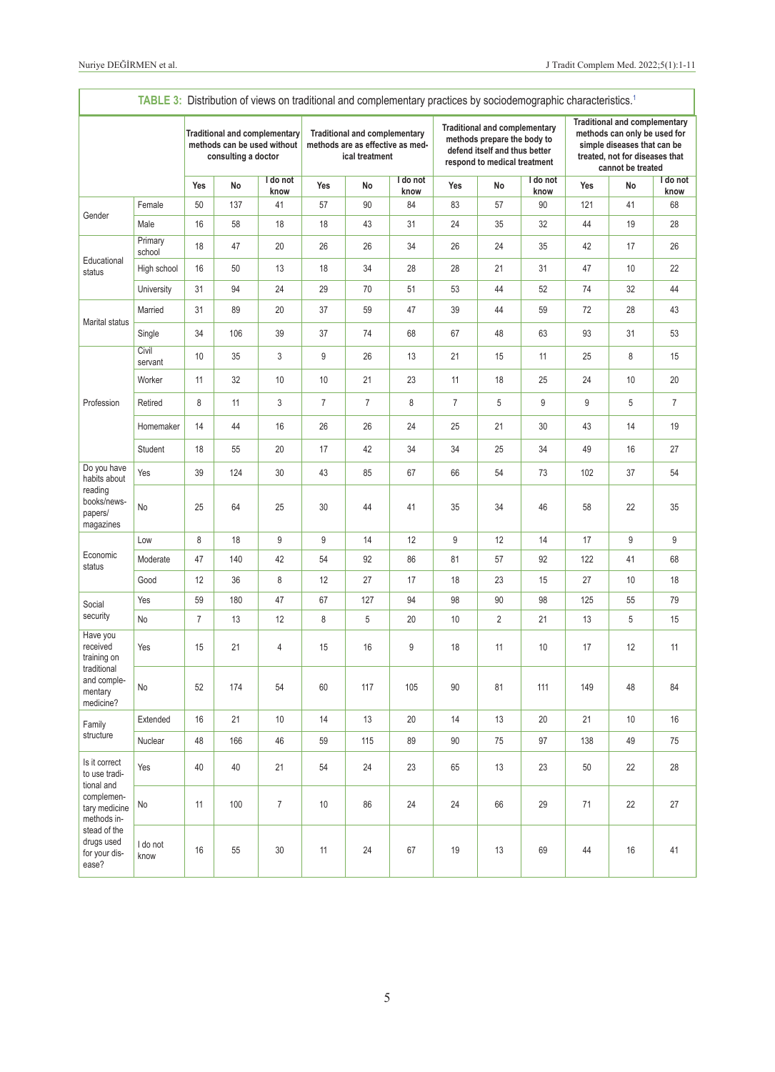<span id="page-4-0"></span>

| TABLE 3: Distribution of views on traditional and complementary practices by sociodemographic characteristics. <sup>1</sup>                        |                   |                                                                                            |     |                  |                                                                                            |                |                  |                                                                                                                                      |                |                  |                                                                                                                                                            |       |                  |
|----------------------------------------------------------------------------------------------------------------------------------------------------|-------------------|--------------------------------------------------------------------------------------------|-----|------------------|--------------------------------------------------------------------------------------------|----------------|------------------|--------------------------------------------------------------------------------------------------------------------------------------|----------------|------------------|------------------------------------------------------------------------------------------------------------------------------------------------------------|-------|------------------|
|                                                                                                                                                    |                   | <b>Traditional and complementary</b><br>methods can be used without<br>consulting a doctor |     |                  | <b>Traditional and complementary</b><br>methods are as effective as med-<br>ical treatment |                |                  | <b>Traditional and complementary</b><br>methods prepare the body to<br>defend itself and thus better<br>respond to medical treatment |                |                  | <b>Traditional and complementary</b><br>methods can only be used for<br>simple diseases that can be<br>treated, not for diseases that<br>cannot be treated |       |                  |
|                                                                                                                                                    |                   | Yes                                                                                        | No  | I do not<br>know | Yes                                                                                        | No             | I do not<br>know | Yes                                                                                                                                  | No             | I do not<br>know | Yes                                                                                                                                                        | No    | I do not<br>know |
| Gender                                                                                                                                             | Female            | 50                                                                                         | 137 | 41               | 57                                                                                         | 90             | 84               | 83                                                                                                                                   | 57             | 90               | 121                                                                                                                                                        | 41    | 68               |
|                                                                                                                                                    | Male              | 16                                                                                         | 58  | 18               | 18                                                                                         | 43             | 31               | 24                                                                                                                                   | 35             | 32               | 44                                                                                                                                                         | 19    | 28               |
|                                                                                                                                                    | Primary<br>school | 18                                                                                         | 47  | 20               | 26                                                                                         | 26             | 34               | 26                                                                                                                                   | 24             | 35               | 42                                                                                                                                                         | 17    | 26               |
| Educational<br>status                                                                                                                              | High school       | 16                                                                                         | 50  | 13               | 18                                                                                         | 34             | 28               | 28                                                                                                                                   | 21             | 31               | 47                                                                                                                                                         | 10    | 22               |
|                                                                                                                                                    | University        | 31                                                                                         | 94  | 24               | 29                                                                                         | 70             | 51               | 53                                                                                                                                   | 44             | 52               | 74                                                                                                                                                         | 32    | 44               |
| Marital status                                                                                                                                     | Married           | 31                                                                                         | 89  | 20               | 37                                                                                         | 59             | 47               | 39                                                                                                                                   | 44             | 59               | 72                                                                                                                                                         | 28    | 43               |
|                                                                                                                                                    | Single            | 34                                                                                         | 106 | 39               | 37                                                                                         | 74             | 68               | 67                                                                                                                                   | 48             | 63               | 93                                                                                                                                                         | 31    | 53               |
|                                                                                                                                                    | Civil<br>servant  | 10                                                                                         | 35  | 3                | 9                                                                                          | 26             | 13               | 21                                                                                                                                   | 15             | 11               | 25                                                                                                                                                         | 8     | 15               |
|                                                                                                                                                    | Worker            | 11                                                                                         | 32  | 10               | 10                                                                                         | 21             | 23               | 11                                                                                                                                   | 18             | 25               | 24                                                                                                                                                         | 10    | 20               |
| Profession                                                                                                                                         | Retired           | $\,8\,$                                                                                    | 11  | 3                | 7                                                                                          | $\overline{7}$ | 8                | $\overline{7}$                                                                                                                       | 5              | 9                | 9                                                                                                                                                          | 5     | $\overline{7}$   |
|                                                                                                                                                    | Homemaker         | 14                                                                                         | 44  | 16               | 26                                                                                         | 26             | 24               | 25                                                                                                                                   | 21             | 30               | 43                                                                                                                                                         | 14    | 19               |
|                                                                                                                                                    | Student           | 18                                                                                         | 55  | 20               | 17                                                                                         | 42             | 34               | 34                                                                                                                                   | 25             | 34               | 49                                                                                                                                                         | 16    | 27               |
| Do you have<br>habits about<br>reading<br>books/news-<br>papers/<br>magazines                                                                      | Yes               | 39                                                                                         | 124 | 30               | 43                                                                                         | 85             | 67               | 66                                                                                                                                   | 54             | 73               | 102                                                                                                                                                        | 37    | 54               |
|                                                                                                                                                    | No                | 25                                                                                         | 64  | 25               | 30                                                                                         | 44             | 41               | 35                                                                                                                                   | 34             | 46               | 58                                                                                                                                                         | 22    | 35               |
|                                                                                                                                                    | Low               | 8                                                                                          | 18  | 9                | 9                                                                                          | 14             | 12               | 9                                                                                                                                    | 12             | 14               | 17                                                                                                                                                         | $9\,$ | 9                |
| Economic<br>status                                                                                                                                 | Moderate          | 47                                                                                         | 140 | 42               | 54                                                                                         | 92             | 86               | 81                                                                                                                                   | 57             | 92               | 122                                                                                                                                                        | 41    | 68               |
|                                                                                                                                                    | Good              | 12                                                                                         | 36  | 8                | 12                                                                                         | 27             | 17               | 18                                                                                                                                   | 23             | 15               | 27                                                                                                                                                         | 10    | 18               |
| Social                                                                                                                                             | Yes               | 59                                                                                         | 180 | 47               | 67                                                                                         | 127            | 94               | 98                                                                                                                                   | 90             | 98               | 125                                                                                                                                                        | 55    | 79               |
| security                                                                                                                                           | No                | $\overline{7}$                                                                             | 13  | 12               | 8                                                                                          | 5              | 20               | 10                                                                                                                                   | $\overline{2}$ | 21               | 13                                                                                                                                                         | 5     | 15               |
| Have you<br>received<br>training on                                                                                                                | Yes               | 15                                                                                         | 21  | 4                | 15                                                                                         | 16             | 9                | 18                                                                                                                                   | 11             | 10               | 17                                                                                                                                                         | 12    | 11               |
| traditional<br>and comple-<br>mentary<br>medicine?                                                                                                 | No                | 52                                                                                         | 174 | 54               | 60                                                                                         | 117            | 105              | 90                                                                                                                                   | 81             | 111              | 149                                                                                                                                                        | 48    | 84               |
| Family                                                                                                                                             | Extended          | 16                                                                                         | 21  | $10$             | 14                                                                                         | 13             | 20               | 14                                                                                                                                   | 13             | 20               | 21                                                                                                                                                         | $10$  | 16               |
| structure                                                                                                                                          | Nuclear           | 48                                                                                         | 166 | 46               | 59                                                                                         | 115            | 89               | 90                                                                                                                                   | 75             | 97               | 138                                                                                                                                                        | 49    | 75               |
| Is it correct<br>to use tradi-<br>tional and<br>complemen-<br>tary medicine<br>methods in-<br>stead of the<br>drugs used<br>for your dis-<br>ease? | Yes               | 40                                                                                         | 40  | 21               | 54                                                                                         | 24             | 23               | 65                                                                                                                                   | 13             | 23               | 50                                                                                                                                                         | 22    | 28               |
|                                                                                                                                                    | No                | 11                                                                                         | 100 | $\overline{7}$   | 10                                                                                         | 86             | 24               | 24                                                                                                                                   | 66             | 29               | 71                                                                                                                                                         | 22    | 27               |
|                                                                                                                                                    | I do not<br>know  | 16                                                                                         | 55  | 30               | 11                                                                                         | 24             | 67               | 19                                                                                                                                   | 13             | 69               | 44                                                                                                                                                         | 16    | 41               |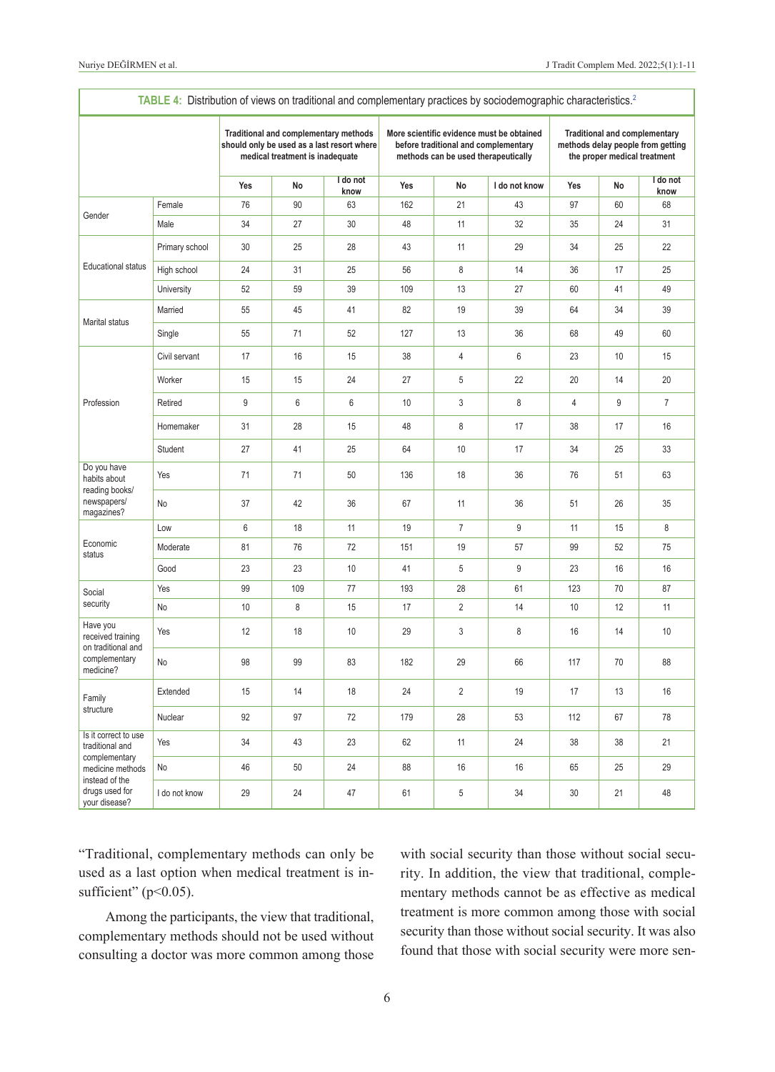<span id="page-5-0"></span>

|                                                                            | TABLE 4: Distribution of views on traditional and complementary practices by sociodemographic characteristics. <sup>2</sup> |                                                                                                                        |     |                  |     |                                                                             |                                           |                                                                                                           |    |                  |
|----------------------------------------------------------------------------|-----------------------------------------------------------------------------------------------------------------------------|------------------------------------------------------------------------------------------------------------------------|-----|------------------|-----|-----------------------------------------------------------------------------|-------------------------------------------|-----------------------------------------------------------------------------------------------------------|----|------------------|
|                                                                            |                                                                                                                             | Traditional and complementary methods<br>should only be used as a last resort where<br>medical treatment is inadequate |     |                  |     | before traditional and complementary<br>methods can be used therapeutically | More scientific evidence must be obtained | <b>Traditional and complementary</b><br>methods delay people from getting<br>the proper medical treatment |    |                  |
|                                                                            |                                                                                                                             | Yes                                                                                                                    | No  | I do not<br>know | Yes | No                                                                          | I do not know                             | Yes                                                                                                       | No | I do not<br>know |
|                                                                            | Female                                                                                                                      | 76                                                                                                                     | 90  | 63               | 162 | 21                                                                          | 43                                        | 97                                                                                                        | 60 | 68               |
| Gender                                                                     | Male                                                                                                                        | 34                                                                                                                     | 27  | 30               | 48  | 11                                                                          | 32                                        | 35                                                                                                        | 24 | 31               |
|                                                                            | Primary school                                                                                                              | 30                                                                                                                     | 25  | 28               | 43  | 11                                                                          | 29                                        | 34                                                                                                        | 25 | 22               |
| <b>Educational status</b>                                                  | High school                                                                                                                 | 24                                                                                                                     | 31  | 25               | 56  | 8                                                                           | 14                                        | 36                                                                                                        | 17 | 25               |
|                                                                            | University                                                                                                                  | 52                                                                                                                     | 59  | 39               | 109 | 13                                                                          | 27                                        | 60                                                                                                        | 41 | 49               |
| Marital status                                                             | Married                                                                                                                     | 55                                                                                                                     | 45  | 41               | 82  | 19                                                                          | 39                                        | 64                                                                                                        | 34 | 39               |
|                                                                            | Single                                                                                                                      | 55                                                                                                                     | 71  | 52               | 127 | 13                                                                          | 36                                        | 68                                                                                                        | 49 | 60               |
|                                                                            | Civil servant                                                                                                               | 17                                                                                                                     | 16  | 15               | 38  | $\overline{4}$                                                              | 6                                         | 23                                                                                                        | 10 | 15               |
|                                                                            | Worker                                                                                                                      | 15                                                                                                                     | 15  | 24               | 27  | 5                                                                           | 22                                        | 20                                                                                                        | 14 | 20               |
| Profession                                                                 | Retired                                                                                                                     | 9                                                                                                                      | 6   | $\,6\,$          | 10  | $\mathsf 3$                                                                 | 8                                         | 4                                                                                                         | 9  | $\overline{7}$   |
|                                                                            | Homemaker                                                                                                                   | 31                                                                                                                     | 28  | 15               | 48  | 8                                                                           | 17                                        | 38                                                                                                        | 17 | 16               |
|                                                                            | Student                                                                                                                     | 27                                                                                                                     | 41  | 25               | 64  | 10                                                                          | 17                                        | 34                                                                                                        | 25 | 33               |
| Do you have<br>habits about<br>reading books/<br>newspapers/<br>magazines? | Yes                                                                                                                         | 71                                                                                                                     | 71  | 50               | 136 | 18                                                                          | 36                                        | 76                                                                                                        | 51 | 63               |
|                                                                            | No                                                                                                                          | 37                                                                                                                     | 42  | 36               | 67  | 11                                                                          | 36                                        | 51                                                                                                        | 26 | 35               |
|                                                                            | Low                                                                                                                         | 6                                                                                                                      | 18  | 11               | 19  | $\overline{7}$                                                              | 9                                         | 11                                                                                                        | 15 | 8                |
| Economic<br>status                                                         | Moderate                                                                                                                    | 81                                                                                                                     | 76  | 72               | 151 | 19                                                                          | 57                                        | 99                                                                                                        | 52 | 75               |
|                                                                            | Good                                                                                                                        | 23                                                                                                                     | 23  | 10               | 41  | 5                                                                           | 9                                         | 23                                                                                                        | 16 | 16               |
| Social                                                                     | Yes                                                                                                                         | 99                                                                                                                     | 109 | 77               | 193 | 28                                                                          | 61                                        | 123                                                                                                       | 70 | 87               |
| security                                                                   | No                                                                                                                          | 10                                                                                                                     | 8   | 15               | 17  | $\overline{2}$                                                              | 14                                        | 10                                                                                                        | 12 | 11               |
| Have you<br>received training                                              | Yes                                                                                                                         | 12                                                                                                                     | 18  | 10               | 29  | 3                                                                           | 8                                         | 16                                                                                                        | 14 | 10               |
| on traditional and<br>complementary<br>medicine?                           | No                                                                                                                          | 98                                                                                                                     | 99  | 83               | 182 | 29                                                                          | 66                                        | 117                                                                                                       | 70 | 88               |
| Family                                                                     | Extended                                                                                                                    | 15                                                                                                                     | 14  | 18               | 24  | $\overline{2}$                                                              | 19                                        | 17                                                                                                        | 13 | 16               |
| structure                                                                  | Nuclear                                                                                                                     | 92                                                                                                                     | 97  | 72               | 179 | 28                                                                          | 53                                        | 112                                                                                                       | 67 | 78               |
| Is it correct to use<br>traditional and                                    | Yes                                                                                                                         | 34                                                                                                                     | 43  | 23               | 62  | 11                                                                          | 24                                        | 38                                                                                                        | 38 | 21               |
| complementary<br>medicine methods                                          | No                                                                                                                          | 46                                                                                                                     | 50  | 24               | 88  | 16                                                                          | 16                                        | 65                                                                                                        | 25 | 29               |
| instead of the<br>drugs used for<br>your disease?                          | I do not know                                                                                                               | 29                                                                                                                     | 24  | 47               | 61  | 5                                                                           | 34                                        | 30                                                                                                        | 21 | 48               |

"Traditional, complementary methods can only be used as a last option when medical treatment is insufficient" (p<0.05).

Among the participants, the view that traditional, complementary methods should not be used without consulting a doctor was more common among those with social security than those without social security. In addition, the view that traditional, complementary methods cannot be as effective as medical treatment is more common among those with social security than those without social security. It was also found that those with social security were more sen-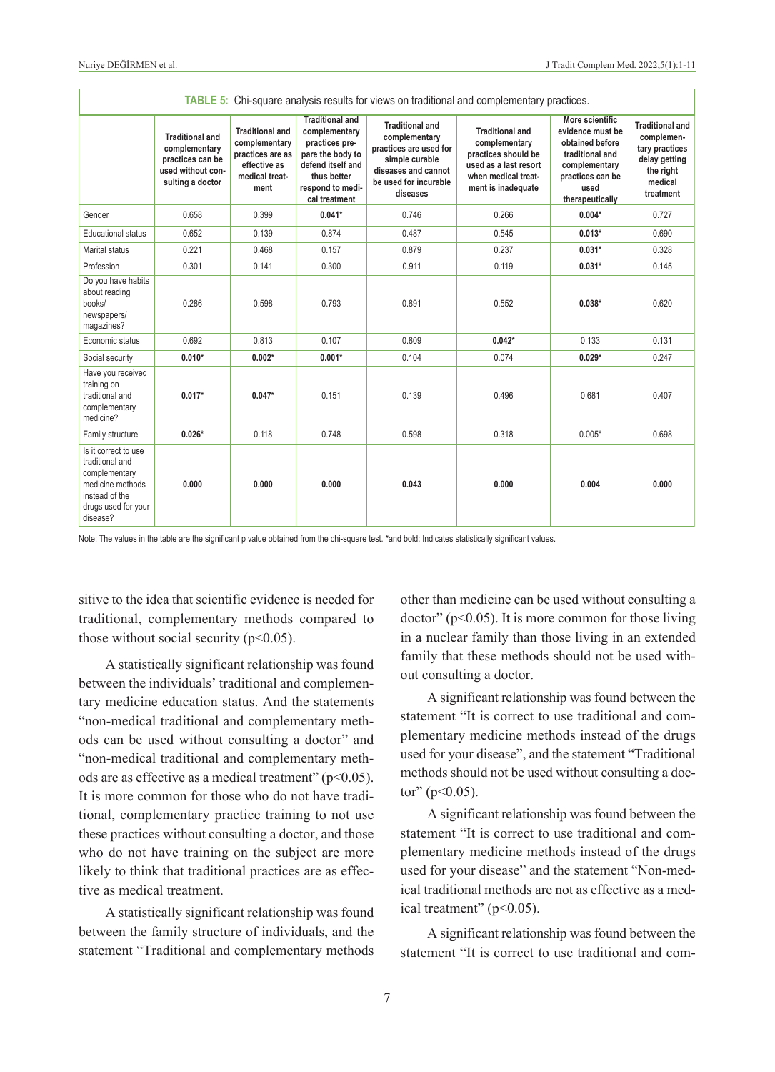| TABLE 5: Chi-square analysis results for views on traditional and complementary practices.                                        |                                                                                                      |                                                                                                       |                                                                                                                                                        |                                                                                                                                                 |                                                                                                                                      |                                                                                                                                                  |                                                                                                              |  |  |  |
|-----------------------------------------------------------------------------------------------------------------------------------|------------------------------------------------------------------------------------------------------|-------------------------------------------------------------------------------------------------------|--------------------------------------------------------------------------------------------------------------------------------------------------------|-------------------------------------------------------------------------------------------------------------------------------------------------|--------------------------------------------------------------------------------------------------------------------------------------|--------------------------------------------------------------------------------------------------------------------------------------------------|--------------------------------------------------------------------------------------------------------------|--|--|--|
|                                                                                                                                   | <b>Traditional and</b><br>complementary<br>practices can be<br>used without con-<br>sulting a doctor | <b>Traditional and</b><br>complementary<br>practices are as<br>effective as<br>medical treat-<br>ment | <b>Traditional and</b><br>complementary<br>practices pre-<br>pare the body to<br>defend itself and<br>thus better<br>respond to medi-<br>cal treatment | <b>Traditional and</b><br>complementary<br>practices are used for<br>simple curable<br>diseases and cannot<br>be used for incurable<br>diseases | <b>Traditional and</b><br>complementary<br>practices should be<br>used as a last resort<br>when medical treat-<br>ment is inadequate | <b>More scientific</b><br>evidence must be<br>obtained before<br>traditional and<br>complementary<br>practices can be<br>used<br>therapeutically | <b>Traditional and</b><br>complemen-<br>tary practices<br>delay getting<br>the right<br>medical<br>treatment |  |  |  |
| Gender                                                                                                                            | 0.658                                                                                                | 0.399                                                                                                 | $0.041*$                                                                                                                                               | 0.746                                                                                                                                           | 0.266                                                                                                                                | $0.004*$                                                                                                                                         | 0.727                                                                                                        |  |  |  |
| <b>Educational status</b>                                                                                                         | 0.652                                                                                                | 0.139                                                                                                 | 0.874                                                                                                                                                  | 0.487                                                                                                                                           | 0.545                                                                                                                                | $0.013*$                                                                                                                                         | 0.690                                                                                                        |  |  |  |
| Marital status                                                                                                                    | 0.221                                                                                                | 0.468                                                                                                 | 0.157                                                                                                                                                  | 0.879                                                                                                                                           | 0.237                                                                                                                                | $0.031*$                                                                                                                                         | 0.328                                                                                                        |  |  |  |
| Profession                                                                                                                        | 0.301                                                                                                | 0.141                                                                                                 | 0.300                                                                                                                                                  | 0.911                                                                                                                                           | 0.119                                                                                                                                | $0.031*$                                                                                                                                         | 0.145                                                                                                        |  |  |  |
| Do you have habits<br>about reading<br>books/<br>newspapers/<br>magazines?                                                        | 0.286                                                                                                | 0.598                                                                                                 | 0.793                                                                                                                                                  | 0.891                                                                                                                                           | 0.552                                                                                                                                | $0.038*$                                                                                                                                         | 0.620                                                                                                        |  |  |  |
| Economic status                                                                                                                   | 0.692                                                                                                | 0.813                                                                                                 | 0.107                                                                                                                                                  | 0.809                                                                                                                                           | $0.042*$                                                                                                                             | 0.133                                                                                                                                            | 0.131                                                                                                        |  |  |  |
| Social security                                                                                                                   | $0.010*$                                                                                             | $0.002*$                                                                                              | $0.001*$                                                                                                                                               | 0.104                                                                                                                                           | 0.074                                                                                                                                | $0.029*$                                                                                                                                         | 0.247                                                                                                        |  |  |  |
| Have you received<br>training on<br>traditional and<br>complementary<br>medicine?                                                 | $0.017*$                                                                                             | $0.047*$                                                                                              | 0.151                                                                                                                                                  | 0.139                                                                                                                                           | 0.496                                                                                                                                | 0.681                                                                                                                                            | 0.407                                                                                                        |  |  |  |
| Family structure                                                                                                                  | $0.026*$                                                                                             | 0.118                                                                                                 | 0.748                                                                                                                                                  | 0.598                                                                                                                                           | 0.318                                                                                                                                | $0.005*$                                                                                                                                         | 0.698                                                                                                        |  |  |  |
| Is it correct to use<br>traditional and<br>complementary<br>medicine methods<br>instead of the<br>drugs used for your<br>disease? | 0.000                                                                                                | 0.000                                                                                                 | 0.000                                                                                                                                                  | 0.043                                                                                                                                           | 0.000                                                                                                                                | 0.004                                                                                                                                            | 0.000                                                                                                        |  |  |  |

Note: The values in the table are the significant p value obtained from the chi-square test. **\***and bold: Indicates statistically significant values.

sitive to the idea that scientific evidence is needed for traditional, complementary methods compared to those without social security ( $p<0.05$ ).

A statistically significant relationship was found between the individuals' traditional and complementary medicine education status. And the statements "non-medical traditional and complementary methods can be used without consulting a doctor" and "non-medical traditional and complementary methods are as effective as a medical treatment" (p<0.05). It is more common for those who do not have traditional, complementary practice training to not use these practices without consulting a doctor, and those who do not have training on the subject are more likely to think that traditional practices are as effective as medical treatment.

A statistically significant relationship was found between the family structure of individuals, and the statement "Traditional and complementary methods <span id="page-6-0"></span>other than medicine can be used without consulting a  $doctor''(p<0.05)$ . It is more common for those living in a nuclear family than those living in an extended family that these methods should not be used without consulting a doctor.

A significant relationship was found between the statement "It is correct to use traditional and complementary medicine methods instead of the drugs used for your disease", and the statement "Traditional methods should not be used without consulting a doctor"  $(p<0.05)$ .

A significant relationship was found between the statement "It is correct to use traditional and complementary medicine methods instead of the drugs used for your disease" and the statement "Non-medical traditional methods are not as effective as a medical treatment" ( $p<0.05$ ).

A significant relationship was found between the statement "It is correct to use traditional and com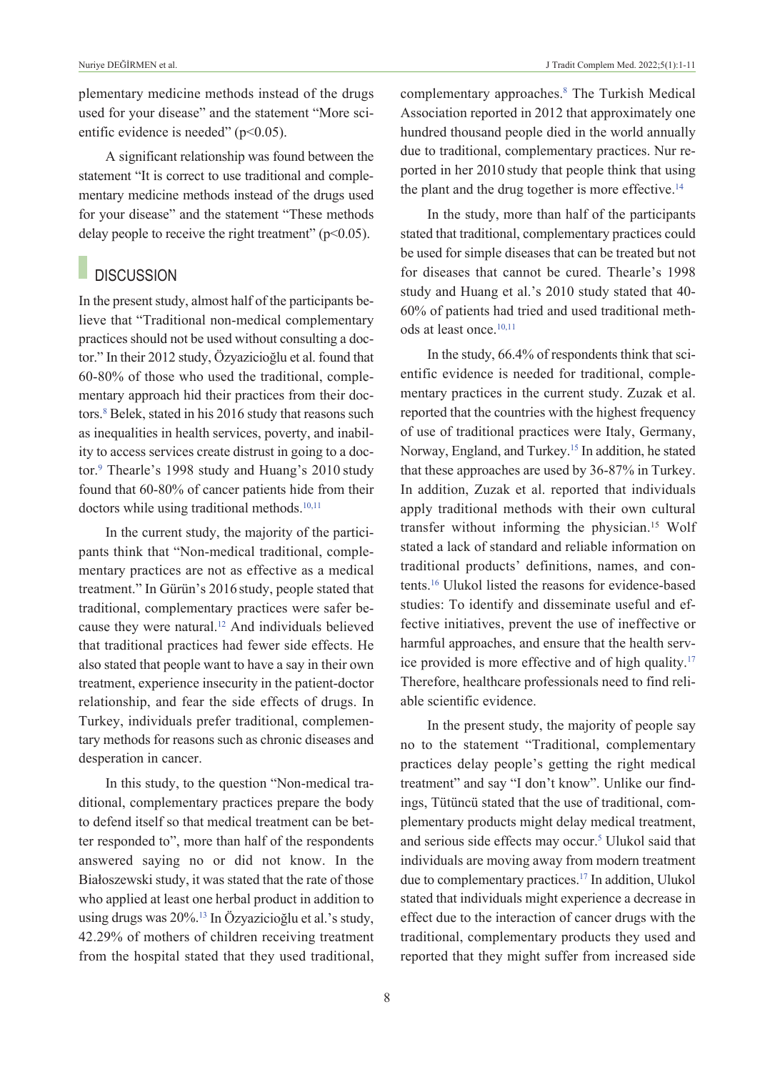plementary medicine methods instead of the drugs used for your disease" and the statement "More scientific evidence is needed"  $(p<0.05)$ .

A significant relationship was found between the statement "It is correct to use traditional and complementary medicine methods instead of the drugs used for your disease" and the statement "These methods delay people to receive the right treatment" ( $p<0.05$ ).

## **DISCUSSION**

In the present study, almost half of the participants believe that "Traditional non-medical complementary practices should not be used without consulting a doctor." In their 2012 study, Özyazicioğlu et al. found that 60-80% of those who used the traditional, complementary approach hid their practices from their doctors.<sup>8</sup> Belek, stated in his 2016 study that reasons such as inequalities in health services, poverty, and inability to access services create distrust in going to a doctor.<sup>9</sup> Thearle's 1998 study and Huang's 2010 study found that 60-80% of cancer patients hide from their doctors while using traditional methods.<sup>10,11</sup>

In the current study, the majority of the participants think that "Non-medical traditional, complementary practices are not as effective as a medical treatment." In Gürün's 2016 study, people stated that traditional, complementary practices were safer because they were natural[.12](#page-10-0) And individuals believed that traditional practices had fewer side effects. He also stated that people want to have a say in their own treatment, experience insecurity in the patient-doctor relationship, and fear the side effects of drugs. In Turkey, individuals prefer traditional, complementary methods for reasons such as chronic diseases and desperation in cancer.

In this study, to the question "Non-medical traditional, complementary practices prepare the body to defend itself so that medical treatment can be better responded to", more than half of the respondents answered saying no or did not know. In the Białoszewski study, it was stated that the rate of those who applied at least one herbal product in addition to using drugs was 20%[.13](#page-10-0) In Özyazicioğlu et al.'s study, 42.29% of mothers of children receiving treatment from the hospital stated that they used traditional,

complementary approaches.<sup>8</sup> The Turkish Medical Association reported in 2012 that approximately one

hundred thousand people died in the world annually due to traditional, complementary practices. Nur reported in her 2010 study that people think that using the plant and the drug together is more effective.<sup>14</sup>

In the study, more than half of the participants stated that traditional, complementary practices could be used for simple diseases that can be treated but not for diseases that cannot be cured. Thearle's 1998 study and Huang et al.'s 2010 study stated that 40- 60% of patients had tried and used traditional methods at least once.<sup>10,11</sup>

In the study, 66.4% of respondents think that scientific evidence is needed for traditional, complementary practices in the current study. Zuzak et al. reported that the countries with the highest frequency of use of traditional practices were Italy, Germany, Norway, England, and Turkey[.15](#page-10-0) In addition, he stated that these approaches are used by 36-87% in Turkey. In addition, Zuzak et al. reported that individuals apply traditional methods with their own cultural transfer without informing the physician.15 Wolf stated a lack of standard and reliable information on traditional products' definitions, names, and contents[.16](#page-10-0) Ulukol listed the reasons for evidence-based studies: To identify and disseminate useful and effective initiatives, prevent the use of ineffective or harmful approaches, and ensure that the health service provided is more effective and of high quality[.17](#page-10-0) Therefore, healthcare professionals need to find reliable scientific evidence.

In the present study, the majority of people say no to the statement "Traditional, complementary practices delay people's getting the right medical treatment" and say "I don't know". Unlike our findings, Tütüncü stated that the use of traditional, complementary products might delay medical treatment, and serious side effects may occur.<sup>5</sup> Ulukol said that individuals are moving away from modern treatment due to complementary practices.<sup>17</sup> In addition, Ulukol stated that individuals might experience a decrease in effect due to the interaction of cancer drugs with the traditional, complementary products they used and reported that they might suffer from increased side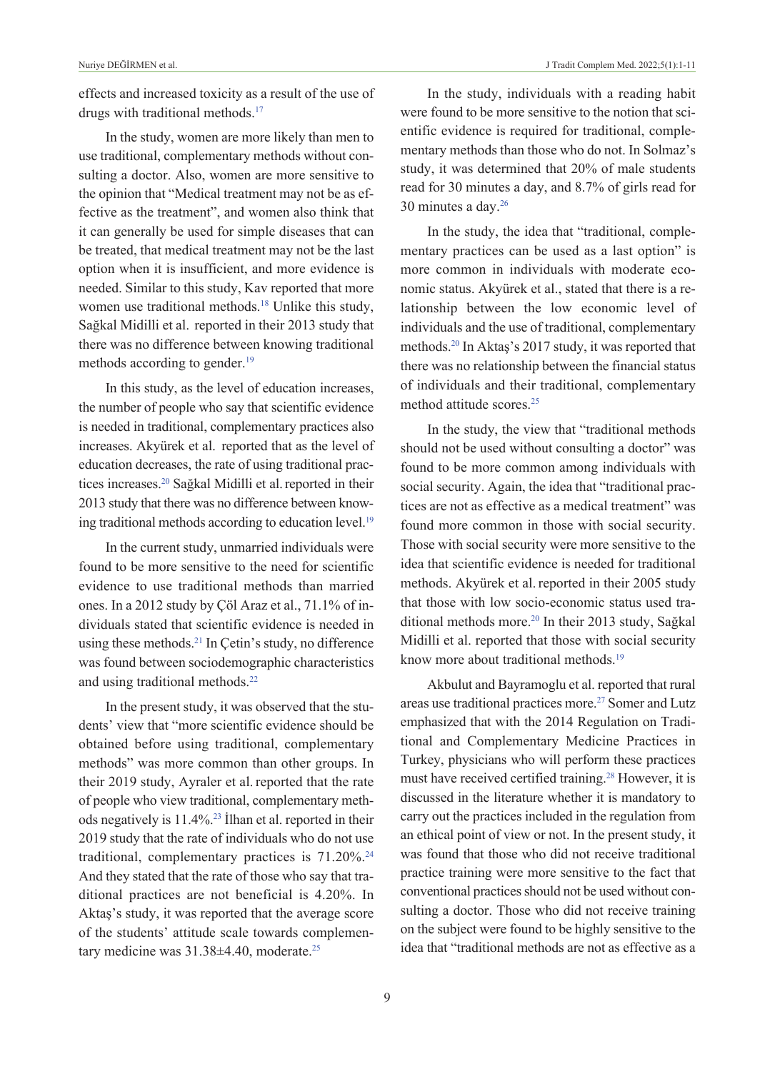effects and increased toxicity as a result of the use of drugs with traditional methods.<sup>17</sup>

In the study, women are more likely than men to use traditional, complementary methods without consulting a doctor. Also, women are more sensitive to the opinion that "Medical treatment may not be as effective as the treatment", and women also think that it can generally be used for simple diseases that can be treated, that medical treatment may not be the last option when it is insufficient, and more evidence is needed. Similar to this study, Kav reported that more women use traditional methods.<sup>18</sup> Unlike this study, Sağkal Midilli et al. reported in their 2013 study that there was no difference between knowing traditional methods according to gender.<sup>19</sup>

In this study, as the level of education increases, the number of people who say that scientific evidence is needed in traditional, complementary practices also increases. Akyürek et al. reported that as the level of education decreases, the rate of using traditional practices increases.<sup>20</sup> Sağkal Midilli et al. reported in their 2013 study that there was no difference between knowing traditional methods according to education level.<sup>19</sup>

In the current study, unmarried individuals were found to be more sensitive to the need for scientific evidence to use traditional methods than married ones. In a 2012 study by Çöl Araz et al., 71.1% of individuals stated that scientific evidence is needed in using these methods.<sup>21</sup> In Çetin's study, no difference was found between sociodemographic characteristics and using traditional methods[.22](#page-10-0)

In the present study, it was observed that the students' view that "more scientific evidence should be obtained before using traditional, complementary methods" was more common than other groups. In their 2019 study, Ayraler et al. reported that the rate of people who view traditional, complementary methods negatively is 11.4%[.23](#page-10-0) İlhan et al. reported in their 2019 study that the rate of individuals who do not use traditional, complementary practices is 71.20%[.24](#page-10-0) And they stated that the rate of those who say that traditional practices are not beneficial is 4.20%. In Aktaş's study, it was reported that the average score of the students' attitude scale towards complementary medicine was  $31.38\pm4.40$ , moderate.<sup>25</sup>

In the study, individuals with a reading habit were found to be more sensitive to the notion that scientific evidence is required for traditional, complementary methods than those who do not. In Solmaz's study, it was determined that 20% of male students read for 30 minutes a day, and 8.7% of girls read for 30 minutes a day[.26](#page-10-0)

In the study, the idea that "traditional, complementary practices can be used as a last option" is more common in individuals with moderate economic status. Akyürek et al., stated that there is a relationship between the low economic level of individuals and the use of traditional, complementary methods[.20](#page-10-0) In Aktaş's 2017 study, it was reported that there was no relationship between the financial status of individuals and their traditional, complementary method attitude scores<sup>25</sup>

In the study, the view that "traditional methods should not be used without consulting a doctor" was found to be more common among individuals with social security. Again, the idea that "traditional practices are not as effective as a medical treatment" was found more common in those with social security. Those with social security were more sensitive to the idea that scientific evidence is needed for traditional methods. Akyürek et al. reported in their 2005 study that those with low socio-economic status used traditional methods more.<sup>20</sup> In their 2013 study, Sağkal Midilli et al. reported that those with social security know more about traditional methods.<sup>19</sup>

Akbulut and Bayramoglu et al. reported that rural areas use traditional practices more.<sup>27</sup> Somer and Lutz emphasized that with the 2014 Regulation on Traditional and Complementary Medicine Practices in Turkey, physicians who will perform these practices must have received certified training[.28](#page-10-0) However, it is discussed in the literature whether it is mandatory to carry out the practices included in the regulation from an ethical point of view or not. In the present study, it was found that those who did not receive traditional practice training were more sensitive to the fact that conventional practices should not be used without consulting a doctor. Those who did not receive training on the subject were found to be highly sensitive to the idea that "traditional methods are not as effective as a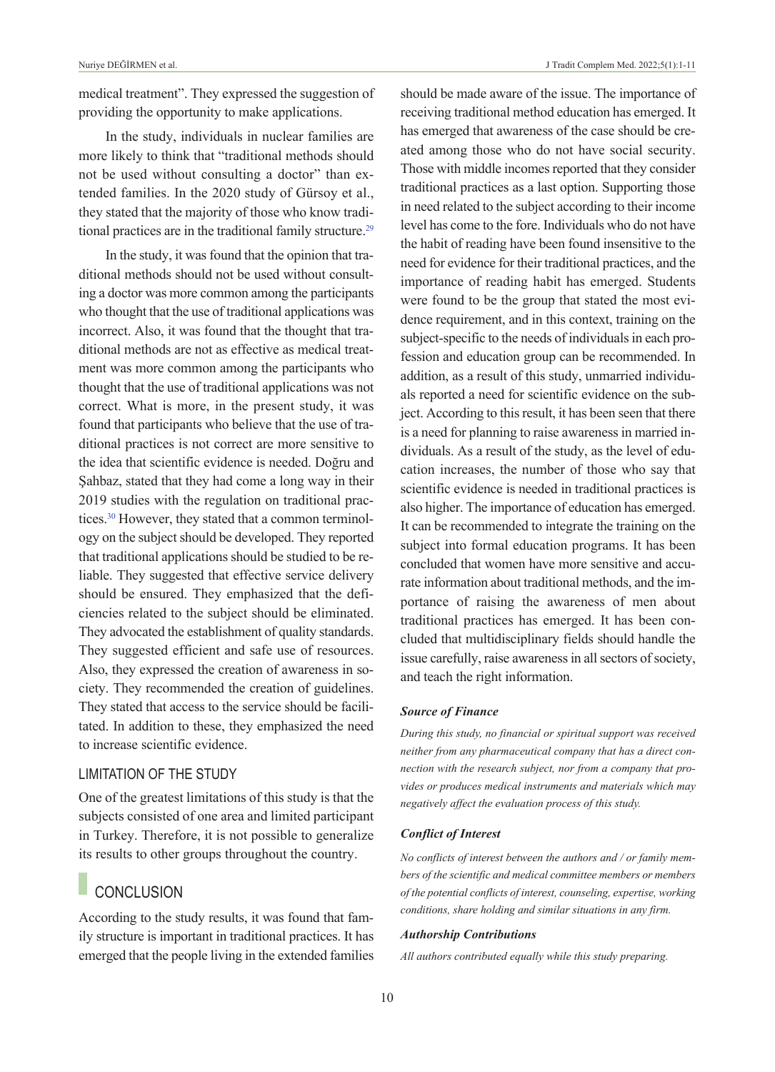medical treatment". They expressed the suggestion of providing the opportunity to make applications.

In the study, individuals in nuclear families are more likely to think that "traditional methods should not be used without consulting a doctor" than extended families. In the 2020 study of Gürsoy et al., they stated that the majority of those who know traditional practices are in the traditional family structure.<sup>29</sup>

In the study, it was found that the opinion that traditional methods should not be used without consulting a doctor was more common among the participants who thought that the use of traditional applications was incorrect. Also, it was found that the thought that traditional methods are not as effective as medical treatment was more common among the participants who thought that the use of traditional applications was not correct. What is more, in the present study, it was found that participants who believe that the use of traditional practices is not correct are more sensitive to the idea that scientific evidence is needed. Doğru and Şahbaz, stated that they had come a long way in their 2019 studies with the regulation on traditional practices[.30](#page-10-0) However, they stated that a common terminology on the subject should be developed. They reported that traditional applications should be studied to be reliable. They suggested that effective service delivery should be ensured. They emphasized that the deficiencies related to the subject should be eliminated. They advocated the establishment of quality standards. They suggested efficient and safe use of resources. Also, they expressed the creation of awareness in society. They recommended the creation of guidelines. They stated that access to the service should be facilitated. In addition to these, they emphasized the need to increase scientific evidence.

#### LIMITATION OF THE STuDY

One of the greatest limitations of this study is that the subjects consisted of one area and limited participant in Turkey. Therefore, it is not possible to generalize its results to other groups throughout the country.

## **CONCLUSION**

According to the study results, it was found that family structure is important in traditional practices. It has emerged that the people living in the extended families should be made aware of the issue. The importance of receiving traditional method education has emerged. It has emerged that awareness of the case should be created among those who do not have social security. Those with middle incomes reported that they consider traditional practices as a last option. Supporting those in need related to the subject according to their income level has come to the fore. Individuals who do not have the habit of reading have been found insensitive to the need for evidence for their traditional practices, and the importance of reading habit has emerged. Students were found to be the group that stated the most evidence requirement, and in this context, training on the subject-specific to the needs of individuals in each profession and education group can be recommended. In addition, as a result of this study, unmarried individuals reported a need for scientific evidence on the subject. According to this result, it has been seen that there is a need for planning to raise awareness in married individuals. As a result of the study, as the level of education increases, the number of those who say that scientific evidence is needed in traditional practices is also higher. The importance of education has emerged. It can be recommended to integrate the training on the subject into formal education programs. It has been concluded that women have more sensitive and accurate information about traditional methods, and the importance of raising the awareness of men about traditional practices has emerged. It has been concluded that multidisciplinary fields should handle the issue carefully, raise awareness in all sectors of society, and teach the right information.

#### *Source of Finance*

*During this study, no financial or spiritual support was received neither from any pharmaceutical company that has a direct connection with the research subject, nor from a company that provides or produces medical instruments and materials which may negatively affect the evaluation process of this study.* 

#### *Conflict of Interest*

*No conflicts of interest between the authors and / or family members of the scientific and medical committee members or members of the potential conflicts of interest, counseling, expertise, working conditions, share holding and similar situations in any firm.* 

#### *Authorship Contributions*

*All authors contributed equally while this study preparing.*